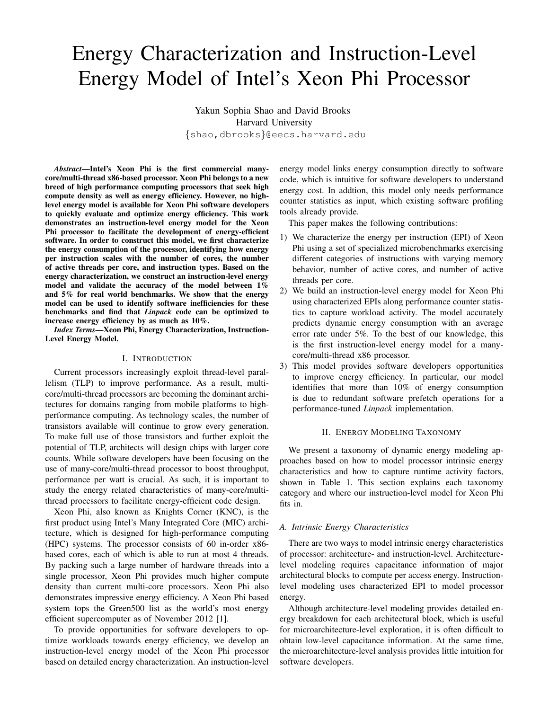# Energy Characterization and Instruction-Level Energy Model of Intel's Xeon Phi Processor

Yakun Sophia Shao and David Brooks Harvard University {shao,dbrooks}@eecs.harvard.edu

*Abstract*—Intel's Xeon Phi is the first commercial manycore/multi-thread x86-based processor. Xeon Phi belongs to a new breed of high performance computing processors that seek high compute density as well as energy efficiency. However, no highlevel energy model is available for Xeon Phi software developers to quickly evaluate and optimize energy efficiency. This work demonstrates an instruction-level energy model for the Xeon Phi processor to facilitate the development of energy-efficient software. In order to construct this model, we first characterize the energy consumption of the processor, identifying how energy per instruction scales with the number of cores, the number of active threads per core, and instruction types. Based on the energy characterization, we construct an instruction-level energy model and validate the accuracy of the model between 1% and 5% for real world benchmarks. We show that the energy model can be used to identify software inefficiencies for these benchmarks and find that *Linpack* code can be optimized to increase energy efficiency by as much as 10%.

*Index Terms*—Xeon Phi, Energy Characterization, Instruction-Level Energy Model.

# I. INTRODUCTION

Current processors increasingly exploit thread-level parallelism (TLP) to improve performance. As a result, multicore/multi-thread processors are becoming the dominant architectures for domains ranging from mobile platforms to highperformance computing. As technology scales, the number of transistors available will continue to grow every generation. To make full use of those transistors and further exploit the potential of TLP, architects will design chips with larger core counts. While software developers have been focusing on the use of many-core/multi-thread processor to boost throughput, performance per watt is crucial. As such, it is important to study the energy related characteristics of many-core/multithread processors to facilitate energy-efficient code design.

Xeon Phi, also known as Knights Corner (KNC), is the first product using Intel's Many Integrated Core (MIC) architecture, which is designed for high-performance computing (HPC) systems. The processor consists of 60 in-order x86 based cores, each of which is able to run at most 4 threads. By packing such a large number of hardware threads into a single processor, Xeon Phi provides much higher compute density than current multi-core processors. Xeon Phi also demonstrates impressive energy efficiency. A Xeon Phi based system tops the Green500 list as the world's most energy efficient supercomputer as of November 2012 [1].

To provide opportunities for software developers to optimize workloads towards energy efficiency, we develop an instruction-level energy model of the Xeon Phi processor based on detailed energy characterization. An instruction-level energy model links energy consumption directly to software code, which is intuitive for software developers to understand energy cost. In addtion, this model only needs performance counter statistics as input, which existing software profiling tools already provide.

This paper makes the following contributions:

- 1) We characterize the energy per instruction (EPI) of Xeon Phi using a set of specialized microbenchmarks exercising different categories of instructions with varying memory behavior, number of active cores, and number of active threads per core.
- 2) We build an instruction-level energy model for Xeon Phi using characterized EPIs along performance counter statistics to capture workload activity. The model accurately predicts dynamic energy consumption with an average error rate under 5%. To the best of our knowledge, this is the first instruction-level energy model for a manycore/multi-thread x86 processor.
- 3) This model provides software developers opportunities to improve energy efficiency. In particular, our model identifies that more than 10% of energy consumption is due to redundant software prefetch operations for a performance-tuned *Linpack* implementation.

## II. ENERGY MODELING TAXONOMY

We present a taxonomy of dynamic energy modeling approaches based on how to model processor intrinsic energy characteristics and how to capture runtime activity factors, shown in Table 1. This section explains each taxonomy category and where our instruction-level model for Xeon Phi fits in.

## *A. Intrinsic Energy Characteristics*

There are two ways to model intrinsic energy characteristics of processor: architecture- and instruction-level. Architecturelevel modeling requires capacitance information of major architectural blocks to compute per access energy. Instructionlevel modeling uses characterized EPI to model processor energy.

Although architecture-level modeling provides detailed energy breakdown for each architectural block, which is useful for microarchitecture-level exploration, it is often difficult to obtain low-level capacitance information. At the same time, the microarchitecture-level analysis provides little intuition for software developers.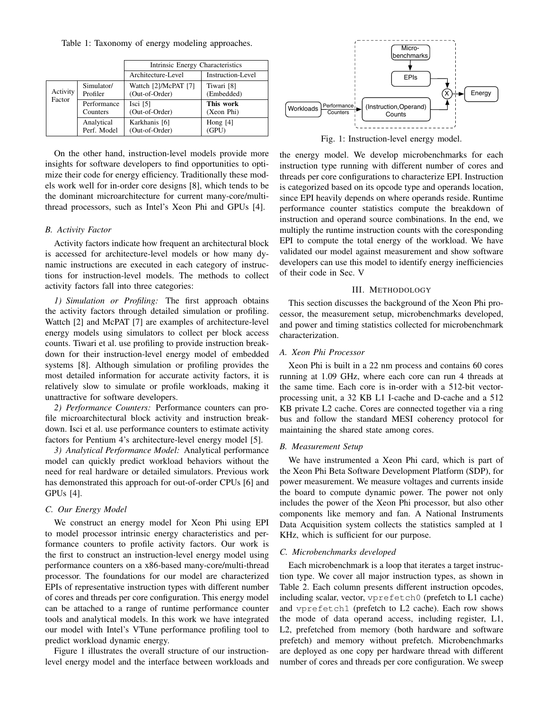Table 1: Taxonomy of energy modeling approaches.

|                    |                           | Intrinsic Energy Characteristics       |                          |  |
|--------------------|---------------------------|----------------------------------------|--------------------------|--|
|                    |                           | Architecture-Level                     | <b>Instruction-Level</b> |  |
| Activity<br>Factor | Simulator/<br>Profiler    | Wattch [2]/McPAT [7]<br>(Out-of-Order) | Tiwari [8]<br>(Embedded) |  |
|                    | Performance<br>Counters   | Isci $[5]$<br>(Out-of-Order)           | This work<br>(Xeon Phi)  |  |
|                    | Analytical<br>Perf. Model | Karkhanis [6]<br>(Out-of-Order)        | Hong $[4]$<br>(GPU)      |  |

On the other hand, instruction-level models provide more insights for software developers to find opportunities to optimize their code for energy efficiency. Traditionally these models work well for in-order core designs [8], which tends to be the dominant microarchitecture for current many-core/multithread processors, such as Intel's Xeon Phi and GPUs [4].

#### *B. Activity Factor*

Activity factors indicate how frequent an architectural block is accessed for architecture-level models or how many dynamic instructions are executed in each category of instructions for instruction-level models. The methods to collect activity factors fall into three categories:

*1) Simulation or Profiling:* The first approach obtains the activity factors through detailed simulation or profiling. Wattch [2] and McPAT [7] are examples of architecture-level energy models using simulators to collect per block access counts. Tiwari et al. use profiling to provide instruction breakdown for their instruction-level energy model of embedded systems [8]. Although simulation or profiling provides the most detailed information for accurate activity factors, it is relatively slow to simulate or profile workloads, making it unattractive for software developers.

*2) Performance Counters:* Performance counters can profile microarchitectural block activity and instruction breakdown. Isci et al. use performance counters to estimate activity factors for Pentium 4's architecture-level energy model [5].

*3) Analytical Performance Model:* Analytical performance model can quickly predict workload behaviors without the need for real hardware or detailed simulators. Previous work has demonstrated this approach for out-of-order CPUs [6] and GPUs [4].

### *C. Our Energy Model*

We construct an energy model for Xeon Phi using EPI to model processor intrinsic energy characteristics and performance counters to profile activity factors. Our work is the first to construct an instruction-level energy model using performance counters on a x86-based many-core/multi-thread processor. The foundations for our model are characterized EPIs of representative instruction types with different number of cores and threads per core configuration. This energy model can be attached to a range of runtime performance counter tools and analytical models. In this work we have integrated our model with Intel's VTune performance profiling tool to predict workload dynamic energy.

Figure 1 illustrates the overall structure of our instructionlevel energy model and the interface between workloads and



Fig. 1: Instruction-level energy model.

the energy model. We develop microbenchmarks for each instruction type running with different number of cores and threads per core configurations to characterize EPI. Instruction is categorized based on its opcode type and operands location, since EPI heavily depends on where operands reside. Runtime performance counter statistics compute the breakdown of instruction and operand source combinations. In the end, we multiply the runtime instruction counts with the coresponding EPI to compute the total energy of the workload. We have validated our model against measurement and show software developers can use this model to identify energy inefficiencies of their code in Sec. V

## III. METHODOLOGY

This section discusses the background of the Xeon Phi processor, the measurement setup, microbenchmarks developed, and power and timing statistics collected for microbenchmark characterization.

#### *A. Xeon Phi Processor*

Xeon Phi is built in a 22 nm process and contains 60 cores running at 1.09 GHz, where each core can run 4 threads at the same time. Each core is in-order with a 512-bit vectorprocessing unit, a 32 KB L1 I-cache and D-cache and a 512 KB private L2 cache. Cores are connected together via a ring bus and follow the standard MESI coherency protocol for maintaining the shared state among cores.

## *B. Measurement Setup*

We have instrumented a Xeon Phi card, which is part of the Xeon Phi Beta Software Development Platform (SDP), for power measurement. We measure voltages and currents inside the board to compute dynamic power. The power not only includes the power of the Xeon Phi processor, but also other components like memory and fan. A National Instruments Data Acquisition system collects the statistics sampled at 1 KHz, which is sufficient for our purpose.

# *C. Microbenchmarks developed*

Each microbenchmark is a loop that iterates a target instruction type. We cover all major instruction types, as shown in Table 2. Each column presents different instruction opcodes, including scalar, vector, vprefetch0 (prefetch to L1 cache) and vprefetch1 (prefetch to L2 cache). Each row shows the mode of data operand access, including register, L1, L2, prefetched from memory (both hardware and software prefetch) and memory without prefetch. Microbenchmarks are deployed as one copy per hardware thread with different number of cores and threads per core configuration. We sweep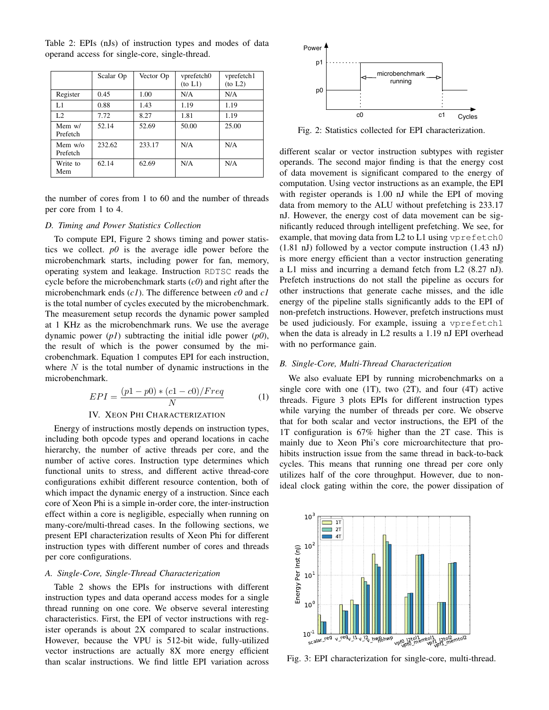|                                | Scalar Op | Vector Op | vprefetch0<br>(to L1) | vprefetch1<br>(to L2) |
|--------------------------------|-----------|-----------|-----------------------|-----------------------|
| Register                       | 0.45      | 1.00      | N/A                   | N/A                   |
| L1                             | 0.88      | 1.43      | 1.19                  | 1.19                  |
| L <sub>2</sub>                 | 7.72      | 8.27      | 1.81                  | 1.19                  |
| Mem $w/$<br>Prefetch           | 52.14     | 52.69     | 50.00                 | 25.00                 |
| Mem $w$ / $\alpha$<br>Prefetch | 232.62    | 233.17    | N/A                   | N/A                   |
| Write to<br>Mem                | 62.14     | 62.69     | N/A                   | N/A                   |

Table 2: EPIs (nJs) of instruction types and modes of data operand access for single-core, single-thread.

the number of cores from 1 to 60 and the number of threads per core from 1 to 4.

# *D. Timing and Power Statistics Collection*

To compute EPI, Figure 2 shows timing and power statistics we collect. *p0* is the average idle power before the microbenchmark starts, including power for fan, memory, operating system and leakage. Instruction RDTSC reads the cycle before the microbenchmark starts (*c0*) and right after the microbenchmark ends (*c1*). The difference between *c0* and *c1* is the total number of cycles executed by the microbenchmark. The measurement setup records the dynamic power sampled at 1 KHz as the microbenchmark runs. We use the average dynamic power (*p1*) subtracting the initial idle power (*p0*), the result of which is the power consumed by the microbenchmark. Equation 1 computes EPI for each instruction, where  $N$  is the total number of dynamic instructions in the microbenchmark.

$$
EPI = \frac{(p1 - p0) * (c1 - c0)/Freq}{N}
$$
 (1)

# IV. XEON PHI CHARACTERIZATION

Energy of instructions mostly depends on instruction types, including both opcode types and operand locations in cache hierarchy, the number of active threads per core, and the number of active cores. Instruction type determines which functional units to stress, and different active thread-core configurations exhibit different resource contention, both of which impact the dynamic energy of a instruction. Since each core of Xeon Phi is a simple in-order core, the inter-instruction effect within a core is negligible, especially when running on many-core/multi-thread cases. In the following sections, we present EPI characterization results of Xeon Phi for different instruction types with different number of cores and threads per core configurations.

# *A. Single-Core, Single-Thread Characterization*

Table 2 shows the EPIs for instructions with different instruction types and data operand access modes for a single thread running on one core. We observe several interesting characteristics. First, the EPI of vector instructions with register operands is about 2X compared to scalar instructions. However, because the VPU is 512-bit wide, fully-utilized vector instructions are actually 8X more energy efficient than scalar instructions. We find little EPI variation across



Fig. 2: Statistics collected for EPI characterization.

different scalar or vector instruction subtypes with register operands. The second major finding is that the energy cost of data movement is significant compared to the energy of computation. Using vector instructions as an example, the EPI with register operands is 1.00 nJ while the EPI of moving data from memory to the ALU without prefetching is 233.17 nJ. However, the energy cost of data movement can be significantly reduced through intelligent prefetching. We see, for example, that moving data from L2 to L1 using vprefetch0 (1.81 nJ) followed by a vector compute instruction (1.43 nJ) is more energy efficient than a vector instruction generating a L1 miss and incurring a demand fetch from L2 (8.27 nJ). Prefetch instructions do not stall the pipeline as occurs for other instructions that generate cache misses, and the idle energy of the pipeline stalls significantly adds to the EPI of non-prefetch instructions. However, prefetch instructions must be used judiciously. For example, issuing a vprefetch1 when the data is already in L2 results a 1.19 nJ EPI overhead with no performance gain.

## *B. Single-Core, Multi-Thread Characterization*

We also evaluate EPI by running microbenchmarks on a single core with one  $(1T)$ , two  $(2T)$ , and four  $(4T)$  active threads. Figure 3 plots EPIs for different instruction types while varying the number of threads per core. We observe that for both scalar and vector instructions, the EPI of the 1T configuration is 67% higher than the 2T case. This is mainly due to Xeon Phi's core microarchitecture that prohibits instruction issue from the same thread in back-to-back cycles. This means that running one thread per core only utilizes half of the core throughput. However, due to nonideal clock gating within the core, the power dissipation of



Fig. 3: EPI characterization for single-core, multi-thread.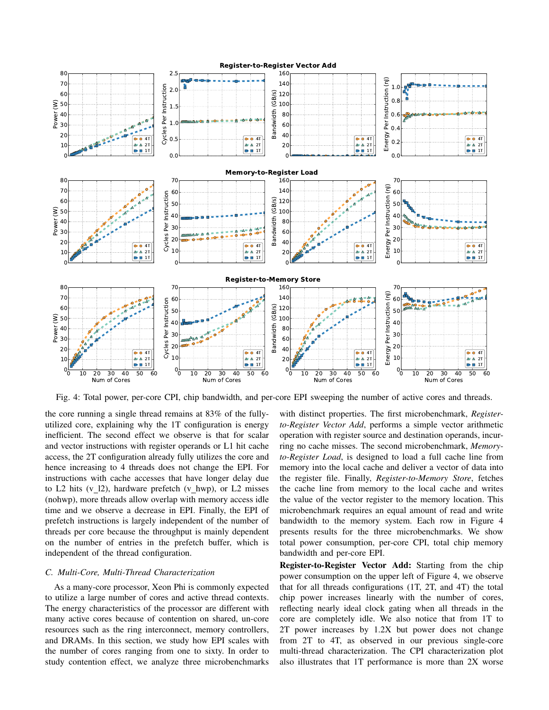

Fig. 4: Total power, per-core CPI, chip bandwidth, and per-core EPI sweeping the number of active cores and threads.

the core running a single thread remains at 83% of the fullyutilized core, explaining why the 1T configuration is energy inefficient. The second effect we observe is that for scalar and vector instructions with register operands or L1 hit cache access, the 2T configuration already fully utilizes the core and hence increasing to 4 threads does not change the EPI. For instructions with cache accesses that have longer delay due to L2 hits  $(v_1/2)$ , hardware prefetch  $(v_hwp)$ , or L2 misses (nohwp), more threads allow overlap with memory access idle time and we observe a decrease in EPI. Finally, the EPI of prefetch instructions is largely independent of the number of threads per core because the throughput is mainly dependent on the number of entries in the prefetch buffer, which is independent of the thread configuration.

# *C. Multi-Core, Multi-Thread Characterization*

As a many-core processor, Xeon Phi is commonly expected to utilize a large number of cores and active thread contexts. The energy characteristics of the processor are different with many active cores because of contention on shared, un-core resources such as the ring interconnect, memory controllers, and DRAMs. In this section, we study how EPI scales with the number of cores ranging from one to sixty. In order to study contention effect, we analyze three microbenchmarks

with distinct properties. The first microbenchmark, *Registerto-Register Vector Add*, performs a simple vector arithmetic operation with register source and destination operands, incurring no cache misses. The second microbenchmark, *Memoryto-Register Load*, is designed to load a full cache line from memory into the local cache and deliver a vector of data into the register file. Finally, *Register-to-Memory Store*, fetches the cache line from memory to the local cache and writes the value of the vector register to the memory location. This microbenchmark requires an equal amount of read and write bandwidth to the memory system. Each row in Figure 4 presents results for the three microbenchmarks. We show total power consumption, per-core CPI, total chip memory bandwidth and per-core EPI.

Register-to-Register Vector Add: Starting from the chip power consumption on the upper left of Figure 4, we observe that for all threads configurations (1T, 2T, and 4T) the total chip power increases linearly with the number of cores, reflecting nearly ideal clock gating when all threads in the core are completely idle. We also notice that from 1T to 2T power increases by 1.2X but power does not change from 2T to 4T, as observed in our previous single-core multi-thread characterization. The CPI characterization plot also illustrates that 1T performance is more than 2X worse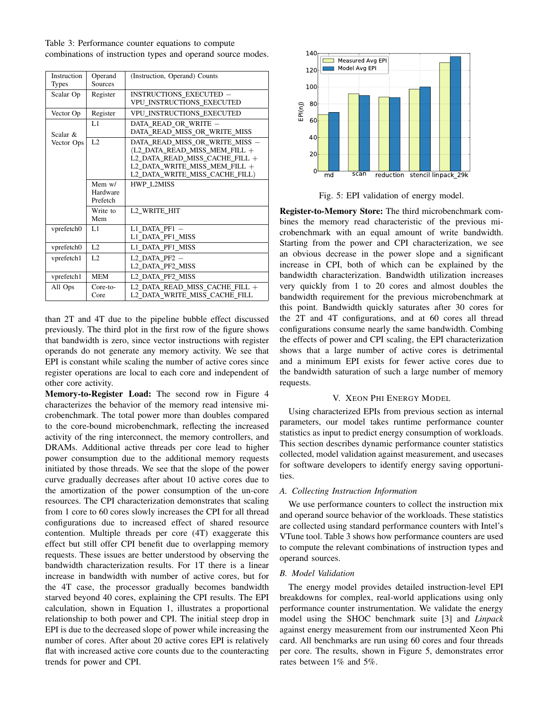Table 3: Performance counter equations to compute combinations of instruction types and operand source modes.

| Instruction<br><b>Types</b> | Operand<br>Sources               | (Instruction, Operand) Counts                                                                                                                                          |  |
|-----------------------------|----------------------------------|------------------------------------------------------------------------------------------------------------------------------------------------------------------------|--|
| Scalar Op                   | Register                         | <b>INSTRUCTIONS EXECUTED -</b><br>VPU INSTRUCTIONS EXECUTED                                                                                                            |  |
| Vector Op                   | Register                         | VPU_INSTRUCTIONS_EXECUTED                                                                                                                                              |  |
| Scalar &                    | L1                               | DATA READ OR WRITE -<br>DATA READ MISS OR WRITE MISS                                                                                                                   |  |
| Vector Ops                  | L <sub>2</sub>                   | DATA READ_MISS_OR_WRITE_MISS -<br>(L2 DATA READ MISS MEM FILL $+$<br>L2 DATA READ MISS CACHE FILL +<br>L2 DATA WRITE MISS MEM FILL +<br>L2_DATA_WRITE_MISS_CACHE_FILL) |  |
|                             | Mem $w/$<br>Hardware<br>Prefetch | <b>HWP L2MISS</b>                                                                                                                                                      |  |
|                             | Write to<br>Mem                  | L2 WRITE_HIT                                                                                                                                                           |  |
| vprefetch0                  | L1                               | $L1$ DATA PF1 $-$<br>L1 DATA PF1 MISS                                                                                                                                  |  |
| vprefetch0                  | L <sub>2</sub>                   | L1 DATA PF1 MISS                                                                                                                                                       |  |
| vprefetch1                  | L2                               | $L2$ DATA PF2 $-$<br>L2 DATA PF2 MISS                                                                                                                                  |  |
| vprefetch1                  | <b>MEM</b>                       | L2 DATA PF2 MISS                                                                                                                                                       |  |
| All Ops                     | $Core-to-$<br>Core               | L2 DATA READ MISS CACHE FILL +<br>L2 DATA WRITE MISS CACHE FILL                                                                                                        |  |

than 2T and 4T due to the pipeline bubble effect discussed previously. The third plot in the first row of the figure shows that bandwidth is zero, since vector instructions with register operands do not generate any memory activity. We see that EPI is constant while scaling the number of active cores since register operations are local to each core and independent of other core activity.

Memory-to-Register Load: The second row in Figure 4 characterizes the behavior of the memory read intensive microbenchmark. The total power more than doubles compared to the core-bound microbenchmark, reflecting the increased activity of the ring interconnect, the memory controllers, and DRAMs. Additional active threads per core lead to higher power consumption due to the additional memory requests initiated by those threads. We see that the slope of the power curve gradually decreases after about 10 active cores due to the amortization of the power consumption of the un-core resources. The CPI characterization demonstrates that scaling from 1 core to 60 cores slowly increases the CPI for all thread configurations due to increased effect of shared resource contention. Multiple threads per core (4T) exaggerate this effect but still offer CPI benefit due to overlapping memory requests. These issues are better understood by observing the bandwidth characterization results. For 1T there is a linear increase in bandwidth with number of active cores, but for the 4T case, the processor gradually becomes bandwidth starved beyond 40 cores, explaining the CPI results. The EPI calculation, shown in Equation 1, illustrates a proportional relationship to both power and CPI. The initial steep drop in EPI is due to the decreased slope of power while increasing the number of cores. After about 20 active cores EPI is relatively flat with increased active core counts due to the counteracting trends for power and CPI.



Fig. 5: EPI validation of energy model.

Register-to-Memory Store: The third microbenchmark combines the memory read characteristic of the previous microbenchmark with an equal amount of write bandwidth. Starting from the power and CPI characterization, we see an obvious decrease in the power slope and a significant increase in CPI, both of which can be explained by the bandwidth characterization. Bandwidth utilization increases very quickly from 1 to 20 cores and almost doubles the bandwidth requirement for the previous microbenchmark at this point. Bandwidth quickly saturates after 30 cores for the 2T and 4T configurations, and at 60 cores all thread configurations consume nearly the same bandwidth. Combing the effects of power and CPI scaling, the EPI characterization shows that a large number of active cores is detrimental and a minimum EPI exists for fewer active cores due to the bandwidth saturation of such a large number of memory requests.

# V. XEON PHI ENERGY MODEL

Using characterized EPIs from previous section as internal parameters, our model takes runtime performance counter statistics as input to predict energy consumption of workloads. This section describes dynamic performance counter statistics collected, model validation against measurement, and usecases for software developers to identify energy saving opportunities.

# *A. Collecting Instruction Information*

We use performance counters to collect the instruction mix and operand source behavior of the workloads. These statistics are collected using standard performance counters with Intel's VTune tool. Table 3 shows how performance counters are used to compute the relevant combinations of instruction types and operand sources.

# *B. Model Validation*

The energy model provides detailed instruction-level EPI breakdowns for complex, real-world applications using only performance counter instrumentation. We validate the energy model using the SHOC benchmark suite [3] and *Linpack* against energy measurement from our instrumented Xeon Phi card. All benchmarks are run using 60 cores and four threads per core. The results, shown in Figure 5, demonstrates error rates between 1% and 5%.